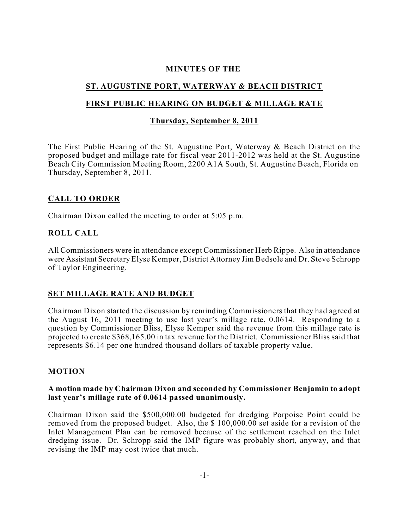## **MINUTES OF THE**

# **ST. AUGUSTINE PORT, WATERWAY & BEACH DISTRICT**

## **FIRST PUBLIC HEARING ON BUDGET & MILLAGE RATE**

#### **Thursday, September 8, 2011**

The First Public Hearing of the St. Augustine Port, Waterway & Beach District on the proposed budget and millage rate for fiscal year 2011-2012 was held at the St. Augustine Beach City Commission Meeting Room, 2200 A1A South, St. Augustine Beach, Florida on Thursday, September 8, 2011.

### **CALL TO ORDER**

Chairman Dixon called the meeting to order at 5:05 p.m.

#### **ROLL CALL**

All Commissioners were in attendance except Commissioner Herb Rippe. Also in attendance were Assistant Secretary Elyse Kemper, District Attorney Jim Bedsole and Dr. Steve Schropp of Taylor Engineering.

## **SET MILLAGE RATE AND BUDGET**

Chairman Dixon started the discussion by reminding Commissioners that they had agreed at the August 16, 2011 meeting to use last year's millage rate, 0.0614. Responding to a question by Commissioner Bliss, Elyse Kemper said the revenue from this millage rate is projected to create \$368,165.00 in tax revenue for the District. Commissioner Bliss said that represents \$6.14 per one hundred thousand dollars of taxable property value.

#### **MOTION**

#### **A motion made by Chairman Dixon and seconded by Commissioner Benjamin to adopt last year's millage rate of 0.0614 passed unanimously.**

Chairman Dixon said the \$500,000.00 budgeted for dredging Porpoise Point could be removed from the proposed budget. Also, the \$ 100,000.00 set aside for a revision of the Inlet Management Plan can be removed because of the settlement reached on the Inlet dredging issue. Dr. Schropp said the IMP figure was probably short, anyway, and that revising the IMP may cost twice that much.